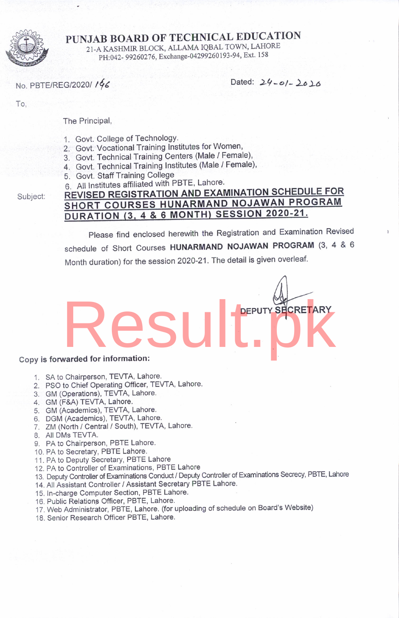

PUNJAB BOARD OF TECHNICAL EDUCATION 2I-A KASHMIR BLOCK ALLAMA IQBAL TOWN, LAHORE PH:042- 99260276, Exchange-04299260193-94, Ext. 158

No. PBTE/REG/2020/196

Dated:  $24 - 01 - 2016$ 

DEPUTY SHCRETARY

To,

The Principal,

- 1. Govt. College of TechnologY.
- 2. Govt. Vocational Training lnstitutes for Women,
- 3. Govt. Technical Training Centers (Male / Female),
- 4. Govt. Technical Training Institutes (Male / Female),
- 5. Govt. Staff Training College
- 

Subject:

## 6. All Institutes affiliated with PBTE, Lahore.<br>REVISED REGISTRATION AND EXAMINATION SCHEDULE FOR SHORT COURSES HUNARMAND NOJAWAN PROGRAM DURATION (3, 4 & 6 MONTH) SESSION 2020-21.

Please find enclosed herewith the Registration and Examination Revised schedule of Short Courses HUNARMAND NOJAWAN PROGRAM (3, 4 & 6 Month duration) for the session 2020-21. The detail is given overleaf.

# Copy is forwarded for information: Result.php

- 1. SA to Chairperson, TEVTA, Lahore.
- 2. PSO to Chief Operating Officer, TEVTA, Lahore.
- 3. GM (Operations), TEVTA, Lahore.
- 4. GM (F&A) TEVTA, Lahore.
- 5. GM (Academics), TEVTA, Lahore.
- 6. DGM (Academics), TEWA, Lahore.
- 7. ZM (North / Central / South), TEVTA, Lahore.
- 8. All DMs TEVTA.
- 9. PA to Chairperson, PBTE Lahore.
- 10. PA to Secretary, PBTE Lahore.
- <sup>1</sup>1 . PA to Deputy Secretary, PBTE Lahore
- 12. PA to Controller of Examinations, PBTE Lahore
- 13. Deputy Controller of Examinations Conduc{ / Deputy Controller of Examinations Secrecy, PBTE, Lahore
- 14. All Assistant Controller / Assistant Secretary PBTE Lahore.
- 15. In-charge Computer Section, PBTE Lahore
- 16. Public Relations Officer, PBTE, Lahore.
- '17. Web Administrator, PBTE, Lahore. (for uploading of schedule on Board's Website)
- 18. Senior Research Officer PBTE, Lahore.